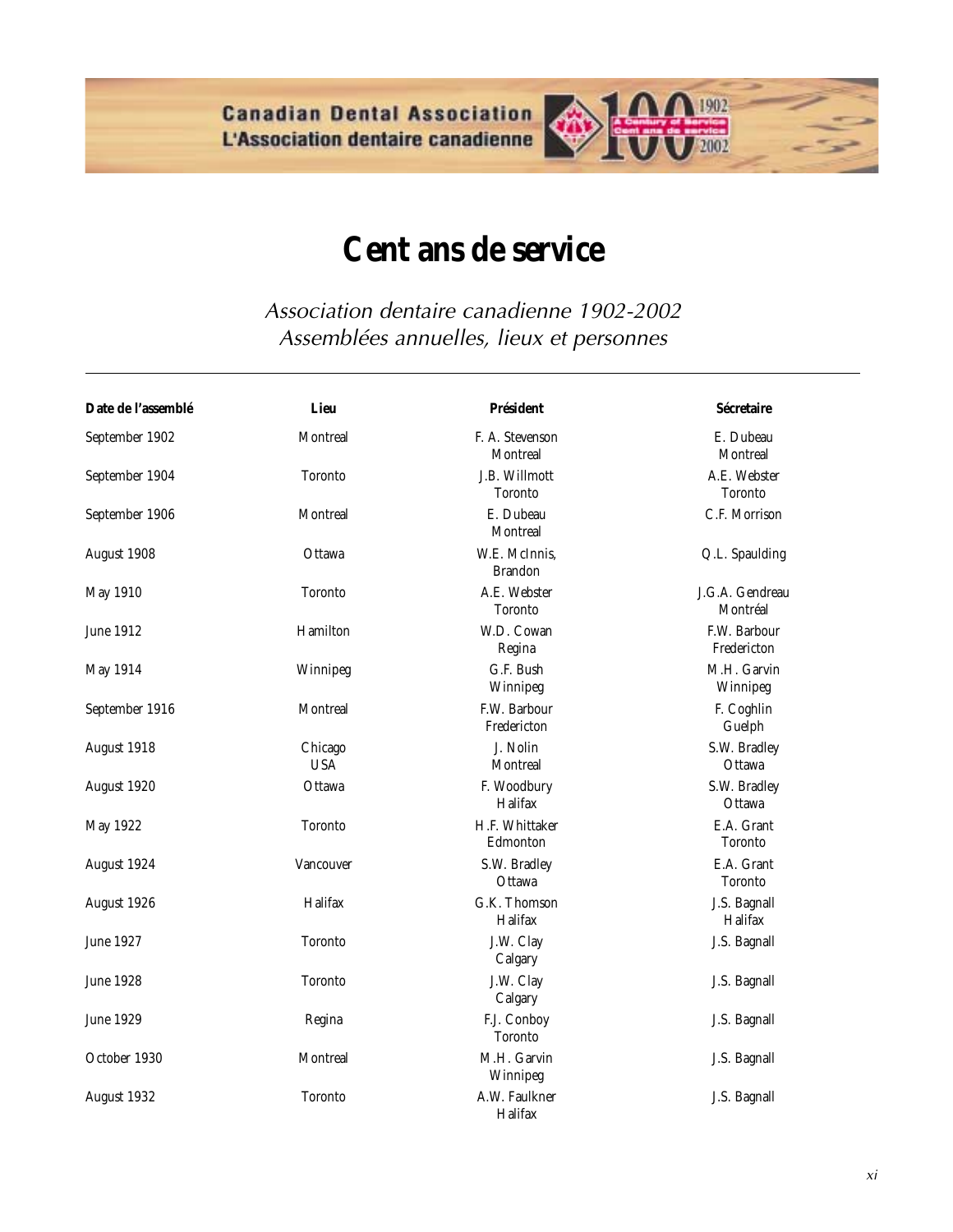**Canadian Dental Association** L'Association dentaire canadienne



## **Cent ans de service**

Association dentaire canadienne 1902-2002 Assemblées annuelles, lieux et personnes

| Date de l'assemblé | Lieu                  | <b>Président</b>                   | Sécretaire                     |
|--------------------|-----------------------|------------------------------------|--------------------------------|
| September 1902     | Montreal              | F. A. Stevenson<br><b>Montreal</b> | E. Dubeau<br>Montreal          |
| September 1904     | Toronto               | J.B. Willmott<br><b>Toronto</b>    | A.E. Webster<br><b>Toronto</b> |
| September 1906     | Montreal              | E. Dubeau<br>Montreal              | C.F. Morrison                  |
| August 1908        | Ottawa                | W.E. McInnis,<br><b>Brandon</b>    | Q.L. Spaulding                 |
| May 1910           | <b>Toronto</b>        | A.E. Webster<br><b>Toronto</b>     | J.G.A. Gendreau<br>Montréal    |
| June 1912          | Hamilton              | W.D. Cowan<br>Regina               | F.W. Barbour<br>Fredericton    |
| May 1914           | Winnipeg              | G.F. Bush<br>Winnipeg              | M.H. Garvin<br>Winnipeg        |
| September 1916     | Montreal              | F.W. Barbour<br>Fredericton        | F. Coghlin<br>Guelph           |
| August 1918        | Chicago<br><b>USA</b> | J. Nolin<br>Montreal               | S.W. Bradley<br>Ottawa         |
| August 1920        | Ottawa                | F. Woodbury<br>Halifax             | S.W. Bradley<br>Ottawa         |
| May 1922           | <b>Toronto</b>        | H.F. Whittaker<br>Edmonton         | E.A. Grant<br>Toronto          |
| August 1924        | Vancouver             | S.W. Bradley<br>Ottawa             | E.A. Grant<br>Toronto          |
| August 1926        | Halifax               | G.K. Thomson<br>Halifax            | J.S. Bagnall<br>Halifax        |
| June 1927          | <b>Toronto</b>        | J.W. Clay<br>Calgary               | J.S. Bagnall                   |
| <b>June 1928</b>   | <b>Toronto</b>        | J.W. Clay<br>Calgary               | J.S. Bagnall                   |
| <b>June 1929</b>   | Regina                | F.J. Conboy<br><b>Toronto</b>      | J.S. Bagnall                   |
| October 1930       | Montreal              | M.H. Garvin<br>Winnipeg            | J.S. Bagnall                   |
| August 1932        | <b>Toronto</b>        | A.W. Faulkner<br>Halifax           | J.S. Bagnall                   |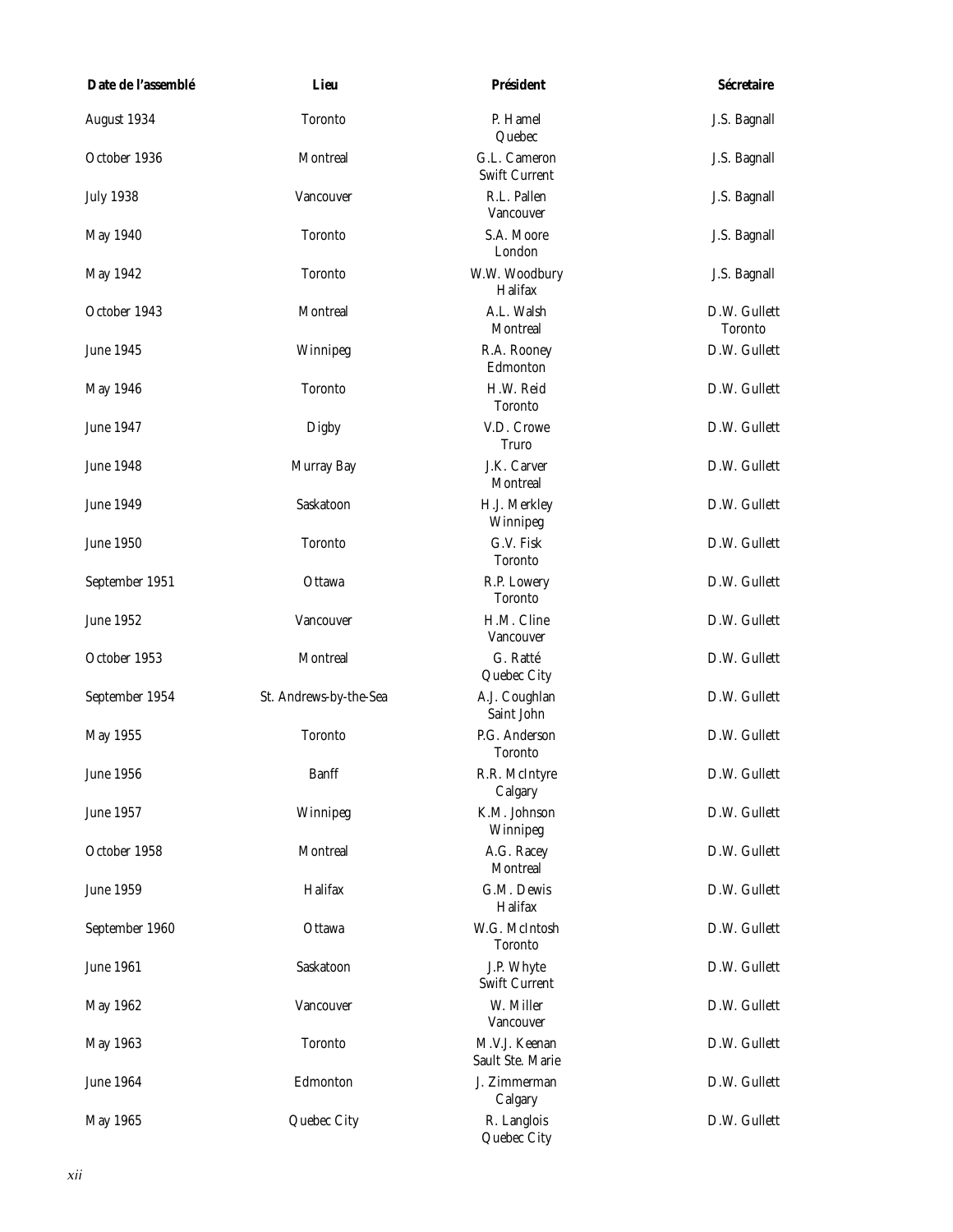| Date de l'assemblé | Lieu                   | <b>Président</b>                  | Sécretaire                     |
|--------------------|------------------------|-----------------------------------|--------------------------------|
| August 1934        | <b>Toronto</b>         | P. Hamel<br>Quebec                | J.S. Bagnall                   |
| October 1936       | Montreal               | G.L. Cameron<br>Swift Current     | J.S. Bagnall                   |
| <b>July 1938</b>   | Vancouver              | R.L. Pallen<br>Vancouver          | J.S. Bagnall                   |
| <b>May 1940</b>    | <b>Toronto</b>         | S.A. Moore<br>London              | J.S. Bagnall                   |
| May 1942           | <b>Toronto</b>         | W.W. Woodbury<br>Halifax          | J.S. Bagnall                   |
| October 1943       | Montreal               | A.L. Walsh<br>Montreal            | D.W. Gullett<br><b>Toronto</b> |
| <b>June 1945</b>   | Winnipeg               | R.A. Rooney<br>Edmonton           | D.W. Gullett                   |
| May 1946           | <b>Toronto</b>         | H.W. Reid<br><b>Toronto</b>       | D.W. Gullett                   |
| <b>June 1947</b>   | Digby                  | V.D. Crowe<br>Truro               | D.W. Gullett                   |
| <b>June 1948</b>   | Murray Bay             | J.K. Carver<br>Montreal           | D.W. Gullett                   |
| June 1949          | Saskatoon              | H.J. Merkley<br>Winnipeg          | D.W. Gullett                   |
| <b>June 1950</b>   | <b>Toronto</b>         | G.V. Fisk<br>Toronto              | D.W. Gullett                   |
| September 1951     | Ottawa                 | R.P. Lowery<br><b>Toronto</b>     | D.W. Gullett                   |
| June 1952          | Vancouver              | H.M. Cline<br>Vancouver           | D.W. Gullett                   |
| October 1953       | Montreal               | G. Ratté<br>Quebec City           | D.W. Gullett                   |
| September 1954     | St. Andrews-by-the-Sea | A.J. Coughlan<br>Saint John       | D.W. Gullett                   |
| May 1955           | <b>Toronto</b>         | P.G. Anderson<br><b>Toronto</b>   | D.W. Gullett                   |
| <b>June 1956</b>   | Banff                  | R.R. McIntyre<br>Calgary          | D.W. Gullett                   |
| June 1957          | Winnipeg               | K.M. Johnson<br>Winnipeg          | D.W. Gullett                   |
| October 1958       | Montreal               | A.G. Racey<br>Montreal            | D.W. Gullett                   |
| <b>June 1959</b>   | Halifax                | G.M. Dewis<br>Halifax             | D.W. Gullett                   |
| September 1960     | Ottawa                 | W.G. McIntosh<br>Toronto          | D.W. Gullett                   |
| June 1961          | Saskatoon              | J.P. Whyte<br>Swift Current       | D.W. Gullett                   |
| May 1962           | Vancouver              | W. Miller<br>Vancouver            | D.W. Gullett                   |
| May 1963           | <b>Toronto</b>         | M.V.J. Keenan<br>Sault Ste. Marie | D.W. Gullett                   |
| June 1964          | Edmonton               | J. Zimmerman<br>Calgary           | D.W. Gullett                   |
| May 1965           | Quebec City            | R. Langlois<br>Quebec City        | D.W. Gullett                   |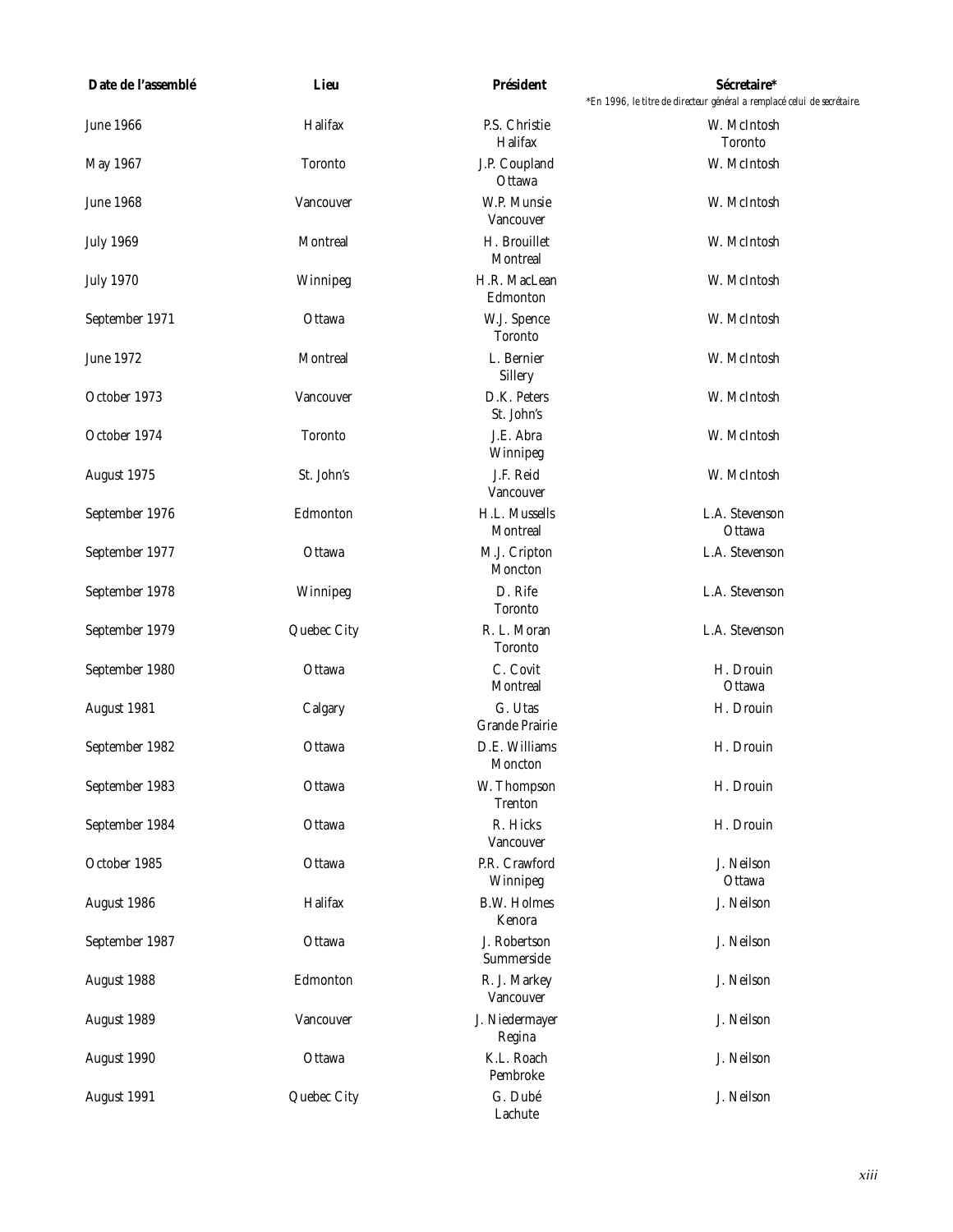| Date de l'assemblé | Lieu           | <b>Président</b>                 | Sécretaire*<br>*En 1996, le titre de directeur général a remplacé celui de secrétaire. |
|--------------------|----------------|----------------------------------|----------------------------------------------------------------------------------------|
| <b>June 1966</b>   | Halifax        | P.S. Christie<br>Halifax         | W. McIntosh<br><b>Toronto</b>                                                          |
| May 1967           | <b>Toronto</b> | J.P. Coupland<br>Ottawa          | W. McIntosh                                                                            |
| <b>June 1968</b>   | Vancouver      | W.P. Munsie<br>Vancouver         | W. McIntosh                                                                            |
| <b>July 1969</b>   | Montreal       | H. Brouillet<br>Montreal         | W. McIntosh                                                                            |
| <b>July 1970</b>   | Winnipeg       | H.R. MacLean<br>Edmonton         | W. McIntosh                                                                            |
| September 1971     | Ottawa         | W.J. Spence<br><b>Toronto</b>    | W. McIntosh                                                                            |
| June 1972          | Montreal       | L. Bernier<br>Sillery            | W. McIntosh                                                                            |
| October 1973       | Vancouver      | D.K. Peters<br>St. John's        | W. McIntosh                                                                            |
| October 1974       | <b>Toronto</b> | J.E. Abra<br>Winnipeg            | W. McIntosh                                                                            |
| August 1975        | St. John's     | J.F. Reid<br>Vancouver           | W. McIntosh                                                                            |
| September 1976     | Edmonton       | H.L. Mussells<br>Montreal        | L.A. Stevenson<br>Ottawa                                                               |
| September 1977     | Ottawa         | M.J. Cripton<br>Moncton          | L.A. Stevenson                                                                         |
| September 1978     | Winnipeg       | D. Rife<br><b>Toronto</b>        | L.A. Stevenson                                                                         |
| September 1979     | Quebec City    | R. L. Moran<br><b>Toronto</b>    | L.A. Stevenson                                                                         |
| September 1980     | Ottawa         | C. Covit<br>Montreal             | H. Drouin<br>Ottawa                                                                    |
| August 1981        | Calgary        | G. Utas<br><b>Grande Prairie</b> | H. Drouin                                                                              |
| September 1982     | Ottawa         | D.E. Williams<br>Moncton         | H. Drouin                                                                              |
| September 1983     | Ottawa         | W. Thompson<br><b>Trenton</b>    | H. Drouin                                                                              |
| September 1984     | Ottawa         | R. Hicks<br>Vancouver            | H. Drouin                                                                              |
| October 1985       | Ottawa         | P.R. Crawford<br>Winnipeg        | J. Neilson<br>Ottawa                                                                   |
| August 1986        | Halifax        | <b>B.W. Holmes</b><br>Kenora     | J. Neilson                                                                             |
| September 1987     | Ottawa         | J. Robertson<br>Summerside       | J. Neilson                                                                             |
| August 1988        | Edmonton       | R. J. Markey<br>Vancouver        | J. Neilson                                                                             |
| August 1989        | Vancouver      | J. Niedermayer<br>Regina         | J. Neilson                                                                             |
| August 1990        | Ottawa         | K.L. Roach<br>Pembroke           | J. Neilson                                                                             |
| August 1991        | Quebec City    | G. Dubé<br>Lachute               | J. Neilson                                                                             |